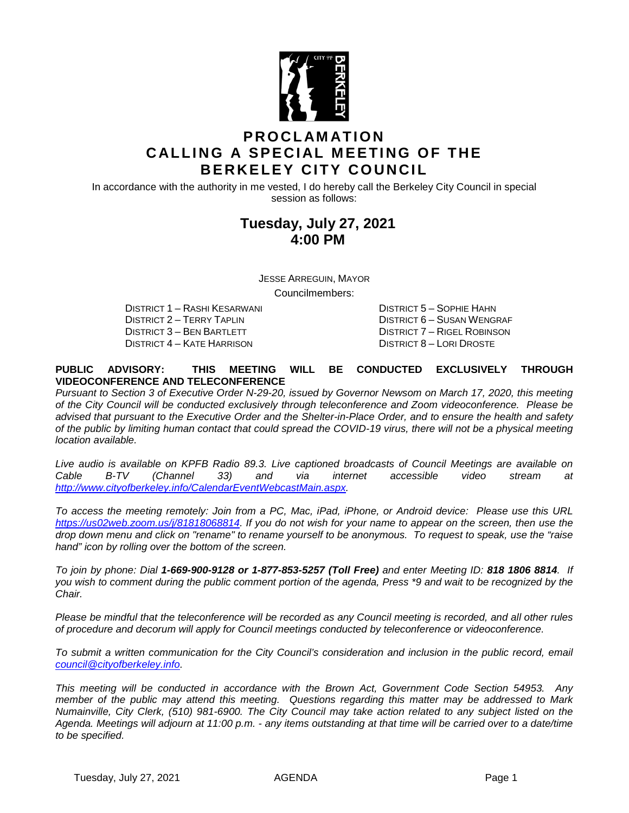

## **PROCLAMATION CALLING A SPECIAL MEETING OF THE BERKELEY CITY COUNCIL**

In accordance with the authority in me vested, I do hereby call the Berkeley City Council in special session as follows:

## **Tuesday, July 27, 2021 4:00 PM**

JESSE ARREGUIN, MAYOR

Councilmembers:

DISTRICT 1 – RASHI KESARWANI DISTRICT 5 – SOPHIE HAHN DISTRICT 2 – TERRY TAPLIN DISTRICT 6 – SUSAN WENGRAF DISTRICT 3 – BEN BARTLETT DISTRICT 7 – RIGEL ROBINSON DISTRICT 4 – KATE HARRISON DISTRICT 8 – LORI DROSTE

#### **PUBLIC ADVISORY: THIS MEETING WILL BE CONDUCTED EXCLUSIVELY THROUGH VIDEOCONFERENCE AND TELECONFERENCE**

*Pursuant to Section 3 of Executive Order N-29-20, issued by Governor Newsom on March 17, 2020, this meeting of the City Council will be conducted exclusively through teleconference and Zoom videoconference. Please be advised that pursuant to the Executive Order and the Shelter-in-Place Order, and to ensure the health and safety of the public by limiting human contact that could spread the COVID-19 virus, there will not be a physical meeting location available.* 

*Live audio is available on KPFB Radio 89.3. Live captioned broadcasts of Council Meetings are available on Cable B-TV (Channel 33) and via internet accessible video stream at [http://www.cityofberkeley.info/CalendarEventWebcastMain.aspx.](http://www.cityofberkeley.info/CalendarEventWebcastMain.aspx)*

*To access the meeting remotely: Join from a PC, Mac, iPad, iPhone, or Android device: Please use this URL [https://us02web.zoom.us/j/81818068814.](https://us02web.zoom.us/j/81818068814) If you do not wish for your name to appear on the screen, then use the drop down menu and click on "rename" to rename yourself to be anonymous. To request to speak, use the "raise hand" icon by rolling over the bottom of the screen.* 

*To join by phone: Dial 1-669-900-9128 or 1-877-853-5257 (Toll Free) and enter Meeting ID: 818 1806 8814. If you wish to comment during the public comment portion of the agenda, Press \*9 and wait to be recognized by the Chair.* 

*Please be mindful that the teleconference will be recorded as any Council meeting is recorded, and all other rules of procedure and decorum will apply for Council meetings conducted by teleconference or videoconference.*

*To submit a written communication for the City Council's consideration and inclusion in the public record, email [council@cityofberkeley.info.](mailto:council@cityofberkeley.info)*

*This meeting will be conducted in accordance with the Brown Act, Government Code Section 54953. Any member of the public may attend this meeting. Questions regarding this matter may be addressed to Mark Numainville, City Clerk, (510) 981-6900. The City Council may take action related to any subject listed on the Agenda. Meetings will adjourn at 11:00 p.m. - any items outstanding at that time will be carried over to a date/time to be specified.*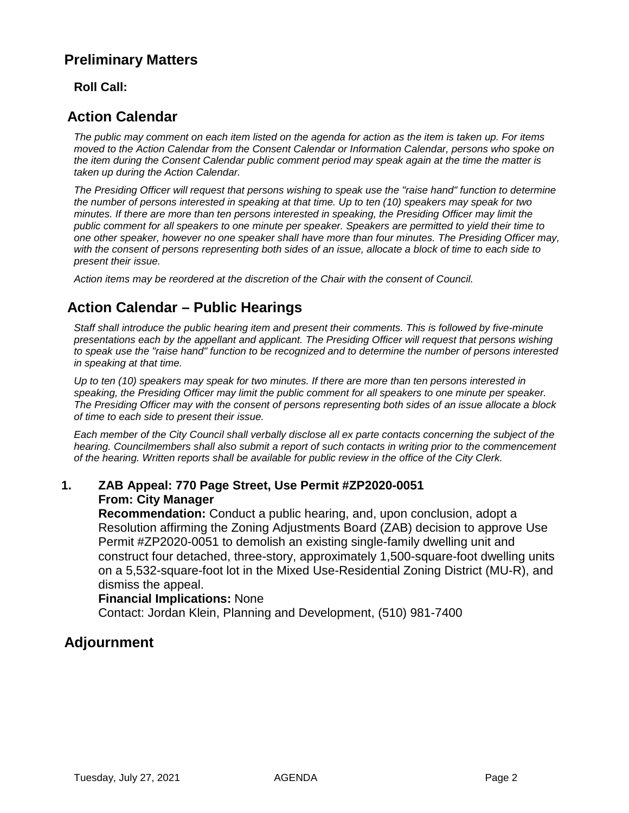### **Preliminary Matters**

**Roll Call:** 

### **Action Calendar**

*The public may comment on each item listed on the agenda for action as the item is taken up. For items moved to the Action Calendar from the Consent Calendar or Information Calendar, persons who spoke on the item during the Consent Calendar public comment period may speak again at the time the matter is taken up during the Action Calendar.*

*The Presiding Officer will request that persons wishing to speak use the "raise hand" function to determine the number of persons interested in speaking at that time. Up to ten (10) speakers may speak for two minutes. If there are more than ten persons interested in speaking, the Presiding Officer may limit the public comment for all speakers to one minute per speaker. Speakers are permitted to yield their time to one other speaker, however no one speaker shall have more than four minutes. The Presiding Officer may, with the consent of persons representing both sides of an issue, allocate a block of time to each side to present their issue.*

*Action items may be reordered at the discretion of the Chair with the consent of Council.*

# **Action Calendar – Public Hearings**

*Staff shall introduce the public hearing item and present their comments. This is followed by five-minute presentations each by the appellant and applicant. The Presiding Officer will request that persons wishing to speak use the "raise hand" function to be recognized and to determine the number of persons interested in speaking at that time.*

*Up to ten (10) speakers may speak for two minutes. If there are more than ten persons interested in speaking, the Presiding Officer may limit the public comment for all speakers to one minute per speaker. The Presiding Officer may with the consent of persons representing both sides of an issue allocate a block of time to each side to present their issue.*

*Each member of the City Council shall verbally disclose all ex parte contacts concerning the subject of the hearing. Councilmembers shall also submit a report of such contacts in writing prior to the commencement of the hearing. Written reports shall be available for public review in the office of the City Clerk.*

### **1. ZAB Appeal: 770 Page Street, Use Permit #ZP2020-0051 From: City Manager**

**Recommendation:** Conduct a public hearing, and, upon conclusion, adopt a Resolution affirming the Zoning Adjustments Board (ZAB) decision to approve Use Permit #ZP2020-0051 to demolish an existing single-family dwelling unit and construct four detached, three-story, approximately 1,500-square-foot dwelling units on a 5,532-square-foot lot in the Mixed Use-Residential Zoning District (MU-R), and dismiss the appeal.

#### **Financial Implications:** None

Contact: Jordan Klein, Planning and Development, (510) 981-7400

# **Adjournment**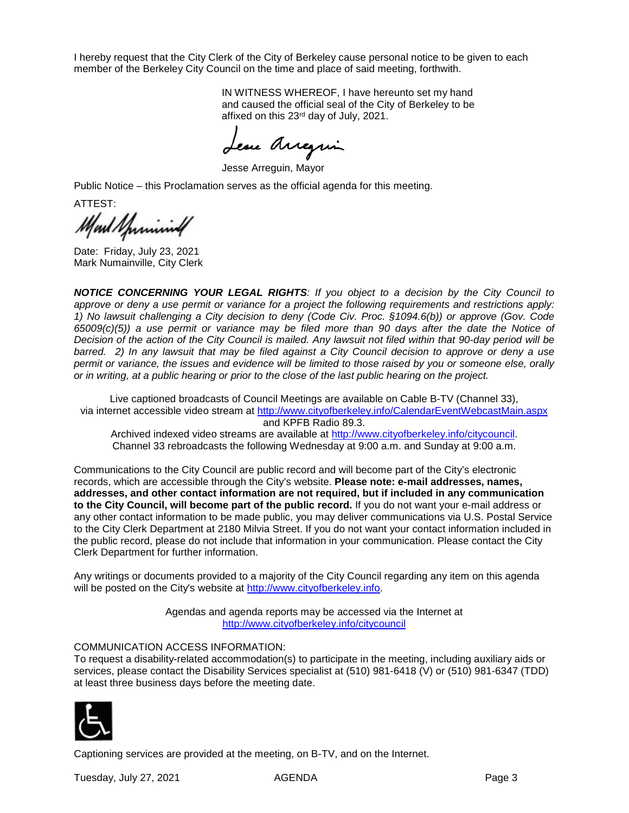I hereby request that the City Clerk of the City of Berkeley cause personal notice to be given to each member of the Berkeley City Council on the time and place of said meeting, forthwith.

> IN WITNESS WHEREOF, I have hereunto set my hand and caused the official seal of the City of Berkeley to be affixed on this 23rd day of July, 2021.

Lesse Arregui

Jesse Arreguin, Mayor

Public Notice – this Proclamation serves as the official agenda for this meeting.

ATTEST: Mart Sprining

Date: Friday, July 23, 2021 Mark Numainville, City Clerk

*NOTICE CONCERNING YOUR LEGAL RIGHTS: If you object to a decision by the City Council to approve or deny a use permit or variance for a project the following requirements and restrictions apply: 1) No lawsuit challenging a City decision to deny (Code Civ. Proc. §1094.6(b)) or approve (Gov. Code 65009(c)(5)) a use permit or variance may be filed more than 90 days after the date the Notice of Decision of the action of the City Council is mailed. Any lawsuit not filed within that 90-day period will be barred. 2) In any lawsuit that may be filed against a City Council decision to approve or deny a use permit or variance, the issues and evidence will be limited to those raised by you or someone else, orally or in writing, at a public hearing or prior to the close of the last public hearing on the project.*

Live captioned broadcasts of Council Meetings are available on Cable B-TV (Channel 33), via internet accessible video stream at<http://www.cityofberkeley.info/CalendarEventWebcastMain.aspx> and KPFB Radio 89.3.

Archived indexed video streams are available at [http://www.cityofberkeley.info/citycouncil.](http://www.cityofberkeley.info/citycouncil) Channel 33 rebroadcasts the following Wednesday at 9:00 a.m. and Sunday at 9:00 a.m.

Communications to the City Council are public record and will become part of the City's electronic records, which are accessible through the City's website. **Please note: e-mail addresses, names, addresses, and other contact information are not required, but if included in any communication to the City Council, will become part of the public record.** If you do not want your e-mail address or any other contact information to be made public, you may deliver communications via U.S. Postal Service to the City Clerk Department at 2180 Milvia Street. If you do not want your contact information included in the public record, please do not include that information in your communication. Please contact the City Clerk Department for further information.

Any writings or documents provided to a majority of the City Council regarding any item on this agenda will be posted on the City's website at [http://www.cityofberkeley.info.](http://www.cityofberkeley.info/)

> Agendas and agenda reports may be accessed via the Internet at <http://www.cityofberkeley.info/citycouncil>

#### COMMUNICATION ACCESS INFORMATION:

To request a disability-related accommodation(s) to participate in the meeting, including auxiliary aids or services, please contact the Disability Services specialist at (510) 981-6418 (V) or (510) 981-6347 (TDD) at least three business days before the meeting date.



Captioning services are provided at the meeting, on B-TV, and on the Internet.